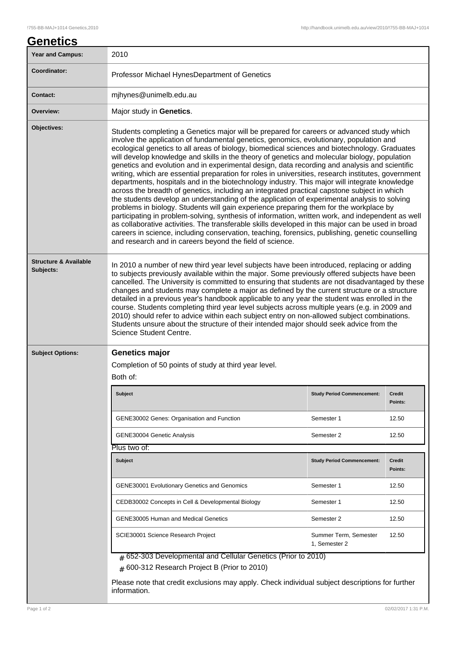## **Genetics**

| Year and Campus:                              | 2010                                                                                                                                                                                                                                                                                                                                                                                                                                                                                                                                                                                                                                                                                                                                                                                                                                                                                                                                                                                                                                                                                                                                                                                                                                                                                                                                                               |                                        |                          |  |
|-----------------------------------------------|--------------------------------------------------------------------------------------------------------------------------------------------------------------------------------------------------------------------------------------------------------------------------------------------------------------------------------------------------------------------------------------------------------------------------------------------------------------------------------------------------------------------------------------------------------------------------------------------------------------------------------------------------------------------------------------------------------------------------------------------------------------------------------------------------------------------------------------------------------------------------------------------------------------------------------------------------------------------------------------------------------------------------------------------------------------------------------------------------------------------------------------------------------------------------------------------------------------------------------------------------------------------------------------------------------------------------------------------------------------------|----------------------------------------|--------------------------|--|
| Coordinator:                                  | Professor Michael HynesDepartment of Genetics                                                                                                                                                                                                                                                                                                                                                                                                                                                                                                                                                                                                                                                                                                                                                                                                                                                                                                                                                                                                                                                                                                                                                                                                                                                                                                                      |                                        |                          |  |
| <b>Contact:</b>                               | mjhynes@unimelb.edu.au                                                                                                                                                                                                                                                                                                                                                                                                                                                                                                                                                                                                                                                                                                                                                                                                                                                                                                                                                                                                                                                                                                                                                                                                                                                                                                                                             |                                        |                          |  |
| Overview:                                     | Major study in Genetics.                                                                                                                                                                                                                                                                                                                                                                                                                                                                                                                                                                                                                                                                                                                                                                                                                                                                                                                                                                                                                                                                                                                                                                                                                                                                                                                                           |                                        |                          |  |
| Objectives:                                   | Students completing a Genetics major will be prepared for careers or advanced study which<br>involve the application of fundamental genetics, genomics, evolutionary, population and<br>ecological genetics to all areas of biology, biomedical sciences and biotechnology. Graduates<br>will develop knowledge and skills in the theory of genetics and molecular biology, population<br>genetics and evolution and in experimental design, data recording and analysis and scientific<br>writing, which are essential preparation for roles in universities, research institutes, government<br>departments, hospitals and in the biotechnology industry. This major will integrate knowledge<br>across the breadth of genetics, including an integrated practical capstone subject in which<br>the students develop an understanding of the application of experimental analysis to solving<br>problems in biology. Students will gain experience preparing them for the workplace by<br>participating in problem-solving, synthesis of information, written work, and independent as well<br>as collaborative activities. The transferable skills developed in this major can be used in broad<br>careers in science, including conservation, teaching, forensics, publishing, genetic counselling<br>and research and in careers beyond the field of science. |                                        |                          |  |
| <b>Structure &amp; Available</b><br>Subjects: | In 2010 a number of new third year level subjects have been introduced, replacing or adding<br>to subjects previously available within the major. Some previously offered subjects have been<br>cancelled. The University is committed to ensuring that students are not disadvantaged by these<br>changes and students may complete a major as defined by the current structure or a structure<br>detailed in a previous year's handbook applicable to any year the student was enrolled in the<br>course. Students completing third year level subjects across multiple years (e.g. in 2009 and<br>2010) should refer to advice within each subject entry on non-allowed subject combinations.<br>Students unsure about the structure of their intended major should seek advice from the<br>Science Student Centre.                                                                                                                                                                                                                                                                                                                                                                                                                                                                                                                                             |                                        |                          |  |
| <b>Subject Options:</b>                       | <b>Genetics major</b><br>Completion of 50 points of study at third year level.<br>Both of:                                                                                                                                                                                                                                                                                                                                                                                                                                                                                                                                                                                                                                                                                                                                                                                                                                                                                                                                                                                                                                                                                                                                                                                                                                                                         |                                        |                          |  |
|                                               | Subject                                                                                                                                                                                                                                                                                                                                                                                                                                                                                                                                                                                                                                                                                                                                                                                                                                                                                                                                                                                                                                                                                                                                                                                                                                                                                                                                                            | <b>Study Period Commencement:</b>      | <b>Credit</b><br>Points: |  |
|                                               | GENE30002 Genes: Organisation and Function                                                                                                                                                                                                                                                                                                                                                                                                                                                                                                                                                                                                                                                                                                                                                                                                                                                                                                                                                                                                                                                                                                                                                                                                                                                                                                                         | Semester 1                             | 12.50                    |  |
|                                               | GENE30004 Genetic Analysis                                                                                                                                                                                                                                                                                                                                                                                                                                                                                                                                                                                                                                                                                                                                                                                                                                                                                                                                                                                                                                                                                                                                                                                                                                                                                                                                         | Semester 2                             | 12.50                    |  |
|                                               | Plus two of:                                                                                                                                                                                                                                                                                                                                                                                                                                                                                                                                                                                                                                                                                                                                                                                                                                                                                                                                                                                                                                                                                                                                                                                                                                                                                                                                                       |                                        |                          |  |
|                                               | <b>Subject</b>                                                                                                                                                                                                                                                                                                                                                                                                                                                                                                                                                                                                                                                                                                                                                                                                                                                                                                                                                                                                                                                                                                                                                                                                                                                                                                                                                     | <b>Study Period Commencement:</b>      | <b>Credit</b><br>Points: |  |
|                                               | <b>GENE30001 Evolutionary Genetics and Genomics</b>                                                                                                                                                                                                                                                                                                                                                                                                                                                                                                                                                                                                                                                                                                                                                                                                                                                                                                                                                                                                                                                                                                                                                                                                                                                                                                                | Semester 1                             | 12.50                    |  |
|                                               | CEDB30002 Concepts in Cell & Developmental Biology                                                                                                                                                                                                                                                                                                                                                                                                                                                                                                                                                                                                                                                                                                                                                                                                                                                                                                                                                                                                                                                                                                                                                                                                                                                                                                                 | Semester 1                             | 12.50                    |  |
|                                               | <b>GENE30005 Human and Medical Genetics</b>                                                                                                                                                                                                                                                                                                                                                                                                                                                                                                                                                                                                                                                                                                                                                                                                                                                                                                                                                                                                                                                                                                                                                                                                                                                                                                                        | Semester 2                             | 12.50                    |  |
|                                               | SCIE30001 Science Research Project                                                                                                                                                                                                                                                                                                                                                                                                                                                                                                                                                                                                                                                                                                                                                                                                                                                                                                                                                                                                                                                                                                                                                                                                                                                                                                                                 | Summer Term, Semester<br>1, Semester 2 | 12.50                    |  |
|                                               | $#$ 652-303 Developmental and Cellular Genetics (Prior to 2010)<br>600-312 Research Project B (Prior to 2010)<br>#<br>Please note that credit exclusions may apply. Check individual subject descriptions for further<br>information.                                                                                                                                                                                                                                                                                                                                                                                                                                                                                                                                                                                                                                                                                                                                                                                                                                                                                                                                                                                                                                                                                                                              |                                        |                          |  |